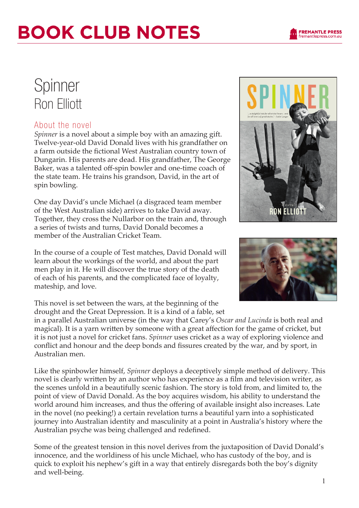# **BOOK CLUB NOTES**

### Spinner Ron Elliott

### About the novel

*Spinner* is a novel about a simple boy with an amazing gift. Twelve-year-old David Donald lives with his grandfather on a farm outside the fictional West Australian country town of Dungarin. His parents are dead. His grandfather, The George Baker, was a talented off-spin bowler and one-time coach of the state team. He trains his grandson, David, in the art of spin bowling.

One day David's uncle Michael (a disgraced team member of the West Australian side) arrives to take David away. Together, they cross the Nullarbor on the train and, through a series of twists and turns, David Donald becomes a member of the Australian Cricket Team.

In the course of a couple of Test matches, David Donald will learn about the workings of the world, and about the part men play in it. He will discover the true story of the death of each of his parents, and the complicated face of loyalty, mateship, and love.

This novel is set between the wars, at the beginning of the drought and the Great Depression. It is a kind of a fable, set

in a parallel Australian universe (in the way that Carey's *Oscar and Lucinda* is both real and magical). It is a yarn written by someone with a great affection for the game of cricket, but it is not just a novel for cricket fans. *Spinner* uses cricket as a way of exploring violence and conflict and honour and the deep bonds and fissures created by the war, and by sport, in Australian men.

Like the spinbowler himself, *Spinner* deploys a deceptively simple method of delivery. This novel is clearly written by an author who has experience as a film and television writer, as the scenes unfold in a beautifully scenic fashion. The story is told from, and limited to, the point of view of David Donald. As the boy acquires wisdom, his ability to understand the world around him increases, and thus the offering of available insight also increases. Late in the novel (no peeking!) a certain revelation turns a beautiful yarn into a sophisticated journey into Australian identity and masculinity at a point in Australia's history where the Australian psyche was being challenged and redefined.

Some of the greatest tension in this novel derives from the juxtaposition of David Donald's innocence, and the worldiness of his uncle Michael, who has custody of the boy, and is quick to exploit his nephew's gift in a way that entirely disregards both the boy's dignity and well-being.





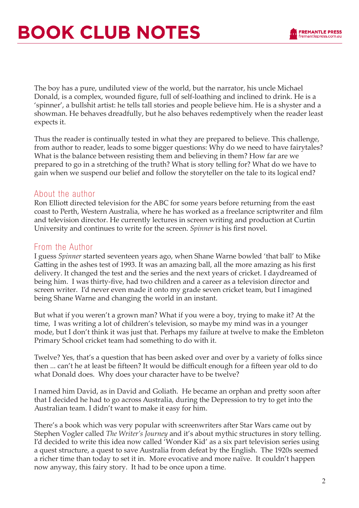

The boy has a pure, undiluted view of the world, but the narrator, his uncle Michael Donald, is a complex, wounded figure, full of self-loathing and inclined to drink. He is a 'spinner', a bullshit artist: he tells tall stories and people believe him. He is a shyster and a showman. He behaves dreadfully, but he also behaves redemptively when the reader least expects it.

Thus the reader is continually tested in what they are prepared to believe. This challenge, from author to reader, leads to some bigger questions: Why do we need to have fairytales? What is the balance between resisting them and believing in them? How far are we prepared to go in a stretching of the truth? What is story telling for? What do we have to gain when we suspend our belief and follow the storyteller on the tale to its logical end?

#### About the author

Ron Elliott directed television for the ABC for some years before returning from the east coast to Perth, Western Australia, where he has worked as a freelance scriptwriter and film and television director. He currently lectures in screen writing and production at Curtin University and continues to write for the screen. *Spinner* is his first novel.

#### From the Author

I guess *Spinner* started seventeen years ago, when Shane Warne bowled 'that ball' to Mike Gatting in the ashes test of 1993. It was an amazing ball, all the more amazing as his first delivery. It changed the test and the series and the next years of cricket. I daydreamed of being him. I was thirty-five, had two children and a career as a television director and screen writer. I'd never even made it onto my grade seven cricket team, but I imagined being Shane Warne and changing the world in an instant.

But what if you weren't a grown man? What if you were a boy, trying to make it? At the time, I was writing a lot of children's television, so maybe my mind was in a younger mode, but I don't think it was just that. Perhaps my failure at twelve to make the Embleton Primary School cricket team had something to do with it.

Twelve? Yes, that's a question that has been asked over and over by a variety of folks since then ... can't he at least be fifteen? It would be difficult enough for a fifteen year old to do what Donald does. Why does your character have to be twelve?

I named him David, as in David and Goliath. He became an orphan and pretty soon after that I decided he had to go across Australia, during the Depression to try to get into the Australian team. I didn't want to make it easy for him.

There's a book which was very popular with screenwriters after Star Wars came out by Stephen Vogler called *The Writer's Journey* and it's about mythic structures in story telling. I'd decided to write this idea now called 'Wonder Kid' as a six part television series using a quest structure, a quest to save Australia from defeat by the English. The 1920s seemed a richer time than today to set it in. More evocative and more naïve. It couldn't happen now anyway, this fairy story. It had to be once upon a time.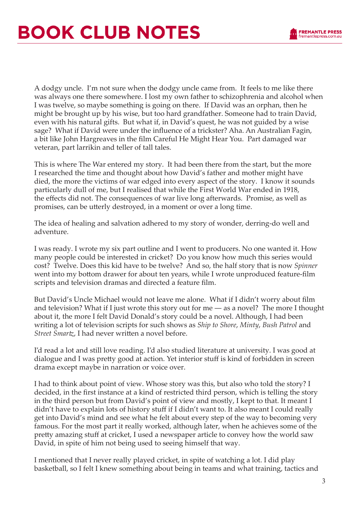

A dodgy uncle. I'm not sure when the dodgy uncle came from. It feels to me like there was always one there somewhere. I lost my own father to schizophrenia and alcohol when I was twelve, so maybe something is going on there. If David was an orphan, then he might be brought up by his wise, but too hard grandfather. Someone had to train David, even with his natural gifts. But what if, in David's quest, he was not guided by a wise sage? What if David were under the influence of a trickster? Aha. An Australian Fagin, a bit like John Hargreaves in the film Careful He Might Hear You. Part damaged war veteran, part larrikin and teller of tall tales.

This is where The War entered my story. It had been there from the start, but the more I researched the time and thought about how David's father and mother might have died, the more the victims of war edged into every aspect of the story. I know it sounds particularly dull of me, but I realised that while the First World War ended in 1918, the effects did not. The consequences of war live long afterwards. Promise, as well as promises, can be utterly destroyed, in a moment or over a long time.

The idea of healing and salvation adhered to my story of wonder, derring-do well and adventure.

I was ready. I wrote my six part outline and I went to producers. No one wanted it. How many people could be interested in cricket? Do you know how much this series would cost? Twelve. Does this kid have to be twelve? And so, the half story that is now *Spinner* went into my bottom drawer for about ten years, while I wrote unproduced feature-film scripts and television dramas and directed a feature film.

But David's Uncle Michael would not leave me alone. What if I didn't worry about film and television? What if I just wrote this story out for me — as a novel? The more I thought about it, the more I felt David Donald's story could be a novel. Although, I had been writing a lot of television scripts for such shows as *Ship to Shore*, *Minty*, *Bush Patrol* and *Street Smartz*, I had never written a novel before.

I'd read a lot and still love reading. I'd also studied literature at university. I was good at dialogue and I was pretty good at action. Yet interior stuff is kind of forbidden in screen drama except maybe in narration or voice over.

I had to think about point of view. Whose story was this, but also who told the story? I decided, in the first instance at a kind of restricted third person, which is telling the story in the third person but from David's point of view and mostly, I kept to that. It meant I didn't have to explain lots of history stuff if I didn't want to. It also meant I could really get into David's mind and see what he felt about every step of the way to becoming very famous. For the most part it really worked, although later, when he achieves some of the pretty amazing stuff at cricket, I used a newspaper article to convey how the world saw David, in spite of him not being used to seeing himself that way.

I mentioned that I never really played cricket, in spite of watching a lot. I did play basketball, so I felt I knew something about being in teams and what training, tactics and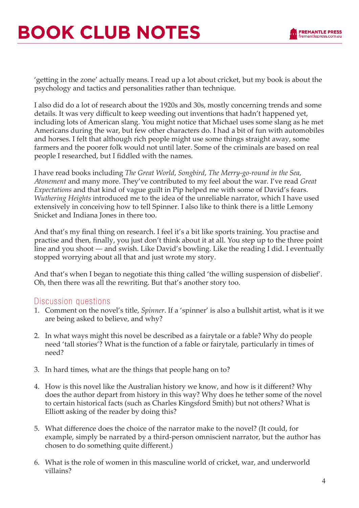# **BOOK CLUB NOTES**



'getting in the zone' actually means. I read up a lot about cricket, but my book is about the psychology and tactics and personalities rather than technique.

I also did do a lot of research about the 1920s and 30s, mostly concerning trends and some details. It was very difficult to keep weeding out inventions that hadn't happened yet, including lots of American slang. You might notice that Michael uses some slang as he met Americans during the war, but few other characters do. I had a bit of fun with automobiles and horses. I felt that although rich people might use some things straight away, some farmers and the poorer folk would not until later. Some of the criminals are based on real people I researched, but I fiddled with the names.

I have read books including *The Great World*, *Songbird*, *The Merry-go-round in the Sea*, *Atonement* and many more. They've contributed to my feel about the war. I've read *Great Expectations* and that kind of vague guilt in Pip helped me with some of David's fears. *Wuthering Heights* introduced me to the idea of the unreliable narrator, which I have used extensively in conceiving how to tell Spinner. I also like to think there is a little Lemony Snicket and Indiana Jones in there too.

And that's my final thing on research. I feel it's a bit like sports training. You practise and practise and then, finally, you just don't think about it at all. You step up to the three point line and you shoot — and swish. Like David's bowling. Like the reading I did. I eventually stopped worrying about all that and just wrote my story.

And that's when I began to negotiate this thing called 'the willing suspension of disbelief'. Oh, then there was all the rewriting. But that's another story too.

### Discussion questions

- 1. Comment on the novel's title, *Spinner*. If a 'spinner' is also a bullshit artist, what is it we are being asked to believe, and why?
- 2. In what ways might this novel be described as a fairytale or a fable? Why do people need 'tall stories'? What is the function of a fable or fairytale, particularly in times of need?
- 3. In hard times, what are the things that people hang on to?
- 4. How is this novel like the Australian history we know, and how is it different? Why does the author depart from history in this way? Why does he tether some of the novel to certain historical facts (such as Charles Kingsford Smith) but not others? What is Elliott asking of the reader by doing this?
- 5. What difference does the choice of the narrator make to the novel? (It could, for example, simply be narrated by a third-person omniscient narrator, but the author has chosen to do something quite different.)
- 6. What is the role of women in this masculine world of cricket, war, and underworld villains?